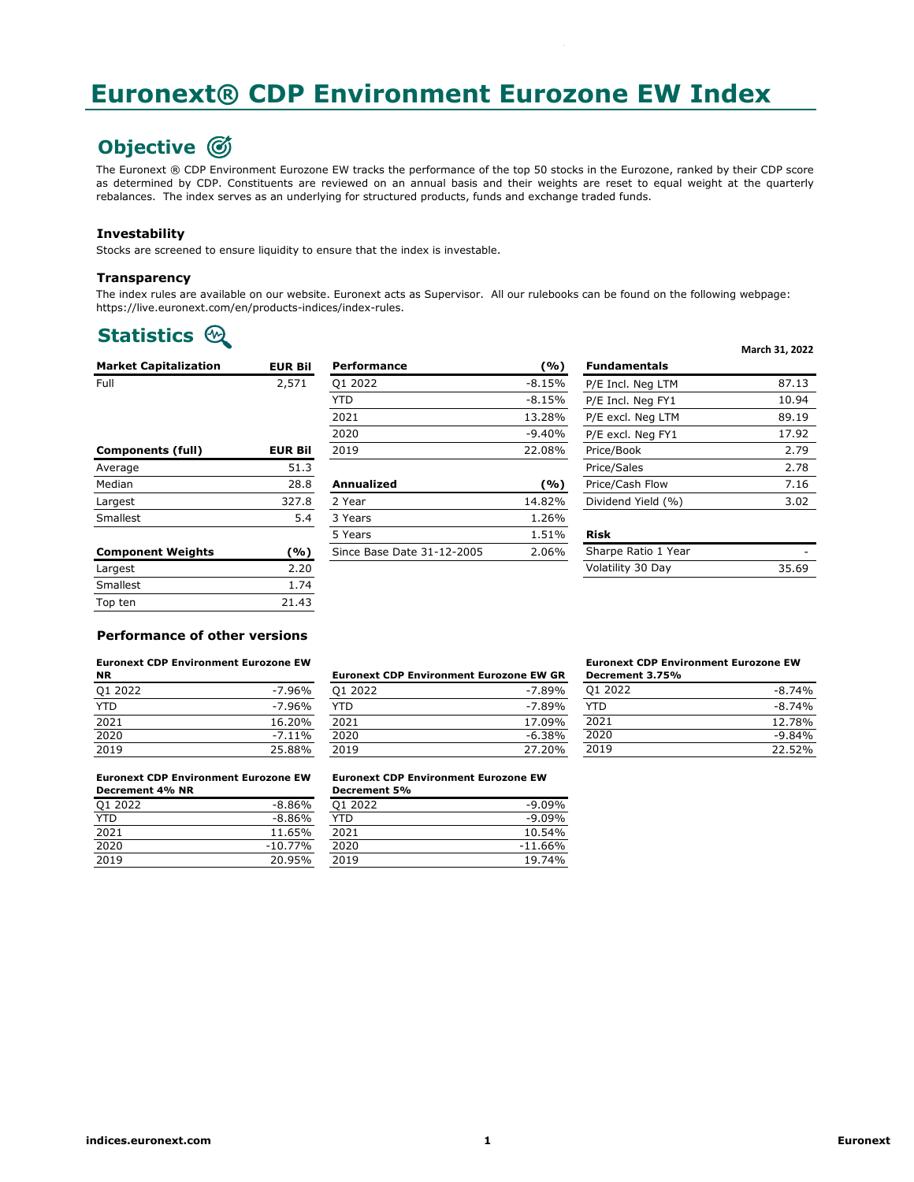# **Euronext® CDP Environment Eurozone EW Index**

 $E=\mathbb{E}_\mathcal{E}$  environment European EW Index Yes EZENP European European European European European European European European European European European European European European European European European European Eur

# **Objective**

The Euronext ® CDP Environment Eurozone EW tracks the performance of the top 50 stocks in the Eurozone, ranked by their CDP score as determined by CDP. Constituents are reviewed on an annual basis and their weights are reset to equal weight at the quarterly rebalances. The index serves as an underlying for structured products, funds and exchange traded funds.

### **Investability**

Stocks are screened to ensure liquidity to ensure that the index is investable.

#### **Transparency**

The index rules are available on our website. Euronext acts as Supervisor. All our rulebooks can be found on the following webpage: https://live.euronext.com/en/products-indices/index-rules.

## **Statistics**  $\circledR$

| <b>Market Capitalization</b> | <b>EUR Bil</b> | <b>Performance</b>         | (%)      | <b>Fundamentals</b> |       |
|------------------------------|----------------|----------------------------|----------|---------------------|-------|
| Full                         | 2,571          | Q1 2022                    | $-8.15%$ | P/E Incl. Neg LTM   | 87.13 |
|                              |                | <b>YTD</b>                 | $-8.15%$ | P/E Incl. Neg FY1   | 10.94 |
|                              |                | 2021                       | 13.28%   | P/E excl. Neg LTM   | 89.19 |
|                              |                | 2020                       | $-9.40%$ | P/E excl. Nea FY1   | 17.92 |
| <b>Components (full)</b>     | <b>EUR Bil</b> | 2019                       | 22.08%   | Price/Book          | 2.79  |
| Average                      | 51.3           |                            |          | Price/Sales         | 2.78  |
| Median                       | 28.8           | Annualized                 | (%)      | Price/Cash Flow     | 7.16  |
| Largest                      | 327.8          | 2 Year                     | 14.82%   | Dividend Yield (%)  | 3.02  |
| Smallest                     | 5.4            | 3 Years                    | 1.26%    |                     |       |
|                              |                | 5 Years                    | 1.51%    | <b>Risk</b>         |       |
| <b>Component Weights</b>     | (%)            | Since Base Date 31-12-2005 | 2.06%    | Sharpe Ratio 1 Year | ۰     |
| Largest                      | 2.20           |                            |          | Volatility 30 Dav   | 35.69 |

| Largest  | z.zu  |
|----------|-------|
| Smallest | 1.74  |
| Top ten  | 21.43 |
|          |       |

#### **Performance of other versions**

## **Euronext CDP Environment Eurozone EW** *Eurone* **EXECNED AND THE EUROPE EUROPE EUROPE EUROPE EUROPE EUROPE EUROPE EUROPE EUROPE EUROPE EUROPE EUROPE EUROPE EUROPE EUROPE EUROPE EUROPE EUROPE EUROPE EUROPE EUROPE EUROPE EUROP**

| <b>NR</b>  |           | <b>Euronext CDP Environment Eurozone EW GR</b> |           |  |
|------------|-----------|------------------------------------------------|-----------|--|
| Q1 2022    | -7.96%    | 01 2022                                        | $-7.89\%$ |  |
| <b>YTD</b> | $-7.96%$  | YTD                                            | $-7.89\%$ |  |
| 2021       | 16.20%    | 2021                                           | 17.09%    |  |
| 2020       | $-7.11\%$ | 2020                                           | $-6.38%$  |  |
| 2019       | 25.88%    | 2019                                           | 27.20%    |  |

### Q1 2022 -7.96% Q1 2022 -7.89% -8.74% YTD -7.96% YTD -7.89% -8.74% 2021 16.20% 2021 17.09% 12.78% 2020 -7.11% 2020 -6.38% -9.84% 2019 25.88% 2019 27.20% 22.52%

#### **Euronext CDP Environment Eurozone EW Decrement 3.75%** Q1 2022

| QI ZUZZ | $-8.74\%$ |
|---------|-----------|
| YTD.    | $-8.74%$  |
| 2021    | 12.78%    |
| 2020    | $-9.84%$  |
| 2019    | 22.52%    |

**March 31, 2022**

#### **Euronext CDP Environment Eurozone EW Decrement 4% NR**

| Q1 2022 | $-8.86%$  |
|---------|-----------|
| YTD     | $-8.86%$  |
| 2021    | 11.65%    |
| 2020    | $-10.77%$ |
| 2019    | 20.95%    |
|         |           |

#### Euronext CDP Environment Eurozone EW Euronext CDP Environment Eurozone EW 2 1 **Euronext CDP Environment Eurozone EW**

| Decrement 4% NR |           | <b>Decrement 5%</b> |           |
|-----------------|-----------|---------------------|-----------|
| Q1 2022         | $-8.86%$  | 01 2022             | $-9.09%$  |
| YTD             | $-8.86%$  | YTD                 | $-9.09%$  |
| 2021            | 11.65%    | 2021                | 10.54%    |
| 2020            | $-10.77%$ | 2020                | $-11.66%$ |
| 2019            | 20.95%    | 2019                | 19.74%    |
|                 |           |                     |           |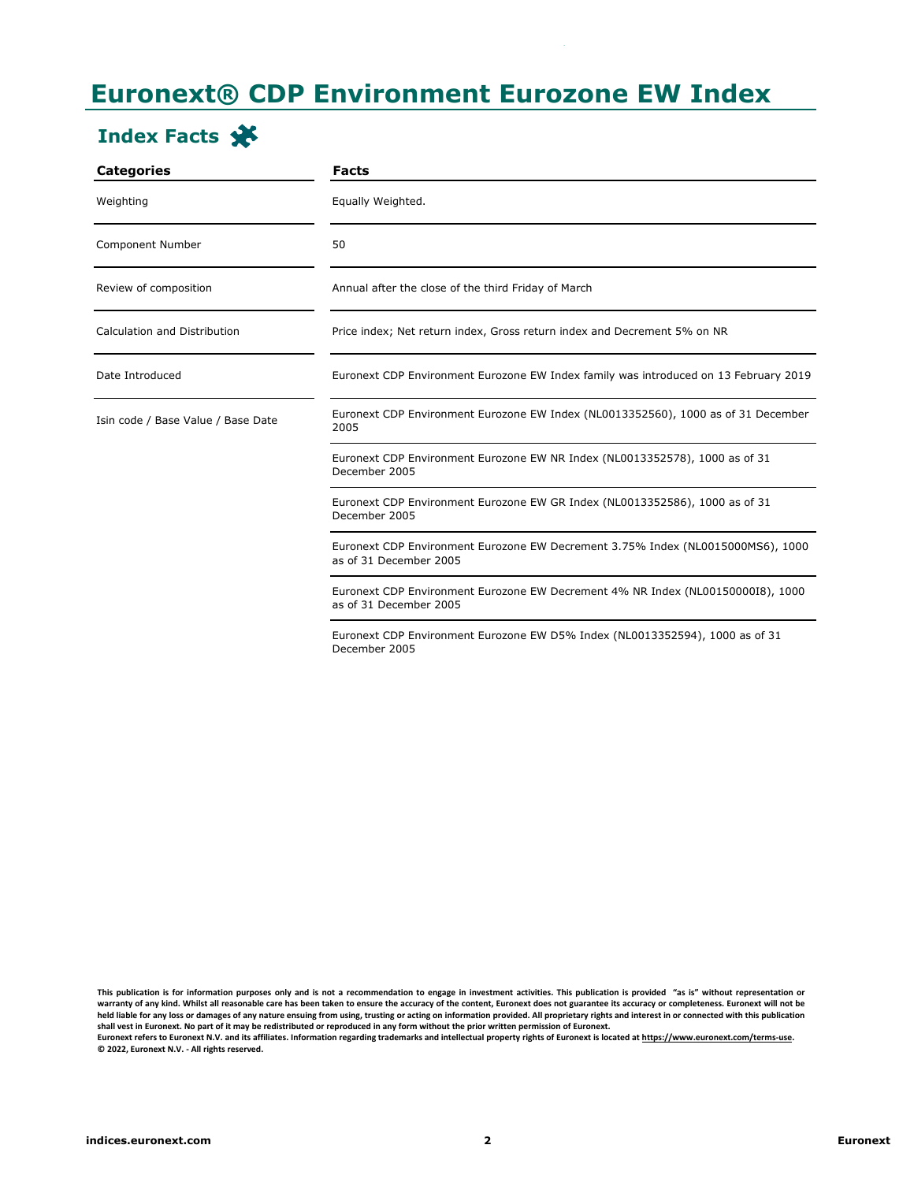# **Euronext® CDP Environment Eurozone EW Index**

 $E=\mathbb{E}_\mathcal{E}$  environment European EW Index Yes EZENP European European European European European European European European European European European European European European European European European European Eur

# **Index Facts**

| <b>Categories</b>                  | <b>Facts</b>                                                                                              |
|------------------------------------|-----------------------------------------------------------------------------------------------------------|
| Weighting                          | Equally Weighted.                                                                                         |
| Component Number                   | 50                                                                                                        |
| Review of composition              | Annual after the close of the third Friday of March                                                       |
| Calculation and Distribution       | Price index; Net return index, Gross return index and Decrement 5% on NR                                  |
| Date Introduced                    | Euronext CDP Environment Eurozone EW Index family was introduced on 13 February 2019                      |
| Isin code / Base Value / Base Date | Euronext CDP Environment Eurozone EW Index (NL0013352560), 1000 as of 31 December<br>2005                 |
|                                    | Euronext CDP Environment Eurozone EW NR Index (NL0013352578), 1000 as of 31<br>December 2005              |
|                                    | Euronext CDP Environment Eurozone EW GR Index (NL0013352586), 1000 as of 31<br>December 2005              |
|                                    | Euronext CDP Environment Eurozone EW Decrement 3.75% Index (NL0015000MS6), 1000<br>as of 31 December 2005 |
|                                    | Euronext CDP Environment Eurozone EW Decrement 4% NR Index (NL00150000I8), 1000<br>as of 31 December 2005 |
|                                    | Euronext CDP Environment Eurozone EW D5% Index (NL0013352594), 1000 as of 31<br>December 2005             |

This publication is for information purposes only and is not a recommendation to engage in investment activities. This publication is provided "as is" without representation or warranty of any kind. Whilst all reasonable care has been taken to ensure the accuracy of the content, Euronext does not guarantee its accuracy or completeness. Euronext will not be held liable for any loss or damages of any nature ensuing from using, trusting or acting on information provided. All proprietary rights and interest in or connected with this publication shall vest in Euronext. No part of it may be redistributed or reproduced in any form without the prior written permission of Euronext.<br>Euronext refers to Euronext N.V. and its affiliates. Information regarding trademarks a **© 2022, Euronext N.V. - All rights reserved.**